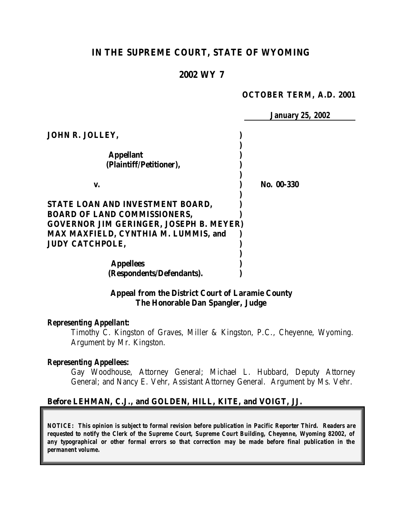# **IN THE SUPREME COURT, STATE OF WYOMING**

## **2002 WY 7**

#### **OCTOBER TERM, A.D. 2001**

*January 25, 2002*

**JOHN R. JOLLEY, ) ) Appellant ) (Plaintiff/Petitioner), ) ) v. ) No. 00-330 ) STATE LOAN AND INVESTMENT BOARD, ) BOARD OF LAND COMMISSIONERS, ) GOVERNOR JIM GERINGER, JOSEPH B. MEYER) MAX MAXFIELD, CYNTHIA M. LUMMIS, and ) JUDY CATCHPOLE, ) ) Appellees ) (Respondents/Defendants). )**

> **Appeal from the District Court of Laramie County The Honorable Dan Spangler, Judge**

#### *Representing Appellant:*

Timothy C. Kingston of Graves, Miller & Kingston, P.C., Cheyenne, Wyoming. Argument by Mr. Kingston.

#### *Representing Appellees:*

Gay Woodhouse, Attorney General; Michael L. Hubbard, Deputy Attorney General; and Nancy E. Vehr, Assistant Attorney General. Argument by Ms. Vehr.

### **Before LEHMAN, C.J., and GOLDEN, HILL, KITE, and VOIGT, JJ.**

*NOTICE: This opinion is subject to formal revision before publication in Pacific Reporter Third. Readers are requested to notify the Clerk of the Supreme Court, Supreme Court Building, Cheyenne, Wyoming 82002, of any typographical or other formal errors so that correction may be made before final publication in the permanent volume.*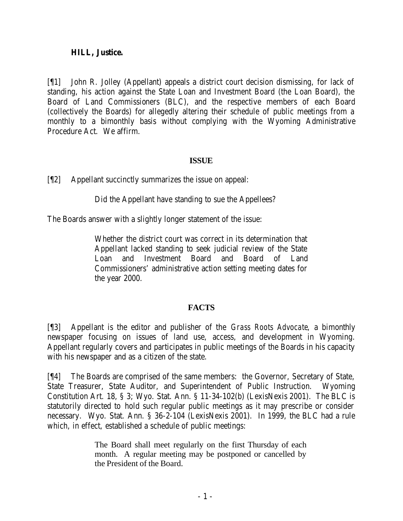### **HILL, Justice.**

[¶1] John R. Jolley (Appellant) appeals a district court decision dismissing, for lack of standing, his action against the State Loan and Investment Board (the Loan Board), the Board of Land Commissioners (BLC), and the respective members of each Board (collectively the Boards) for allegedly altering their schedule of public meetings from a monthly to a bimonthly basis without complying with the Wyoming Administrative Procedure Act. We affirm.

## **ISSUE**

[¶2] Appellant succinctly summarizes the issue on appeal:

Did the Appellant have standing to sue the Appellees?

The Boards answer with a slightly longer statement of the issue:

Whether the district court was correct in its determination that Appellant lacked standing to seek judicial review of the State Loan and Investment Board and Board of Land Commissioners' administrative action setting meeting dates for the year 2000.

# **FACTS**

[¶3] Appellant is the editor and publisher of the *Grass Roots Advocate*, a bimonthly newspaper focusing on issues of land use, access, and development in Wyoming. Appellant regularly covers and participates in public meetings of the Boards in his capacity with his newspaper and as a citizen of the state.

[¶4] The Boards are comprised of the same members: the Governor, Secretary of State, State Treasurer, State Auditor, and Superintendent of Public Instruction. Wyoming Constitution Art. 18, § 3; Wyo. Stat. Ann. § 11-34-102(b) (LexisNexis 2001). The BLC is statutorily directed to hold such regular public meetings as it may prescribe or consider necessary. Wyo. Stat. Ann. § 36-2-104 (LexisNexis 2001). In 1999, the BLC had a rule which, in effect, established a schedule of public meetings:

> The Board shall meet regularly on the first Thursday of each month. A regular meeting may be postponed or cancelled by the President of the Board.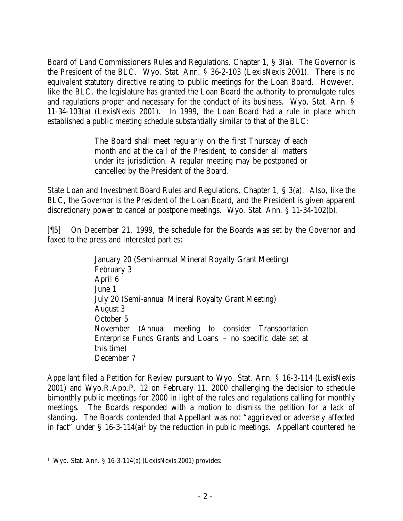Board of Land Commissioners Rules and Regulations, Chapter 1, § 3(a). The Governor is the President of the BLC. Wyo. Stat. Ann. § 36-2-103 (LexisNexis 2001). There is no equivalent statutory directive relating to public meetings for the Loan Board. However, like the BLC, the legislature has granted the Loan Board the authority to promulgate rules and regulations proper and necessary for the conduct of its business. Wyo. Stat. Ann. § 11-34-103(a) (LexisNexis 2001). In 1999, the Loan Board had a rule in place which established a public meeting schedule substantially similar to that of the BLC:

> The Board shall meet regularly on the first Thursday of each month and at the call of the President, to consider all matters under its jurisdiction. A regular meeting may be postponed or cancelled by the President of the Board.

State Loan and Investment Board Rules and Regulations, Chapter 1, § 3(a). Also, like the BLC, the Governor is the President of the Loan Board, and the President is given apparent discretionary power to cancel or postpone meetings. Wyo. Stat. Ann. § 11-34-102(b).

[¶5] On December 21, 1999, the schedule for the Boards was set by the Governor and faxed to the press and interested parties:

> January 20 (Semi-annual Mineral Royalty Grant Meeting) February 3 April 6 June 1 July 20 (Semi-annual Mineral Royalty Grant Meeting) August 3 October 5 November (Annual meeting to consider Transportation Enterprise Funds Grants and Loans – no specific date set at this time) December 7

Appellant filed a Petition for Review pursuant to Wyo. Stat. Ann. § 16-3-114 (LexisNexis 2001) and Wyo.R.App.P. 12 on February 11, 2000 challenging the decision to schedule bimonthly public meetings for 2000 in light of the rules and regulations calling for monthly meetings. The Boards responded with a motion to dismiss the petition for a lack of standing. The Boards contended that Appellant was not "aggrieved or adversely affected in fact" under  $\S$  16-3-114(a)<sup>1</sup> by the reduction in public meetings. Appellant countered he

 1 Wyo. Stat. Ann. § 16-3-114(a) (LexisNexis 2001) provides: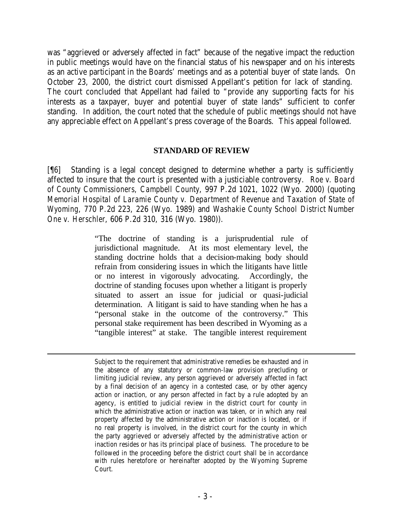was "aggrieved or adversely affected in fact" because of the negative impact the reduction in public meetings would have on the financial status of his newspaper and on his interests as an active participant in the Boards' meetings and as a potential buyer of state lands. On October 23, 2000, the district court dismissed Appellant's petition for lack of standing. The court concluded that Appellant had failed to "provide any supporting facts for his interests as a taxpayer, buyer and potential buyer of state lands" sufficient to confer standing. In addition, the court noted that the schedule of public meetings should not have any appreciable effect on Appellant's press coverage of the Boards. This appeal followed.

#### **STANDARD OF REVIEW**

[¶6] Standing is a legal concept designed to determine whether a party is sufficiently affected to insure that the court is presented with a justiciable controversy. *Roe v. Board of County Commissioners, Campbell County*, 997 P.2d 1021, 1022 (Wyo. 2000) (quoting *Memorial Hospital of Laramie County v. Department of Revenue and Taxation of State of Wyoming*, 770 P.2d 223, 226 (Wyo. 1989) and *Washakie County School District Number One v. Herschler*, 606 P.2d 310, 316 (Wyo. 1980)).

> "The doctrine of standing is a jurisprudential rule of jurisdictional magnitude. At its most elementary level, the standing doctrine holds that a decision-making body should refrain from considering issues in which the litigants have little or no interest in vigorously advocating. Accordingly, the doctrine of standing focuses upon whether a litigant is properly situated to assert an issue for judicial or quasi-judicial determination. A litigant is said to have standing when he has a "personal stake in the outcome of the controversy." This personal stake requirement has been described in Wyoming as a "tangible interest" at stake. The tangible interest requirement

> Subject to the requirement that administrative remedies be exhausted and in the absence of any statutory or common-law provision precluding or limiting judicial review, any person aggrieved or adversely affected in fact by a final decision of an agency in a contested case, or by other agency action or inaction, or any person affected in fact by a rule adopted by an agency, is entitled to judicial review in the district court for county in which the administrative action or inaction was taken, or in which any real property affected by the administrative action or inaction is located, or if no real property is involved, in the district court for the county in which the party aggrieved or adversely affected by the administrative action or inaction resides or has its principal place of business. The procedure to be followed in the proceeding before the district court shall be in accordance with rules heretofore or hereinafter adopted by the Wyoming Supreme Court.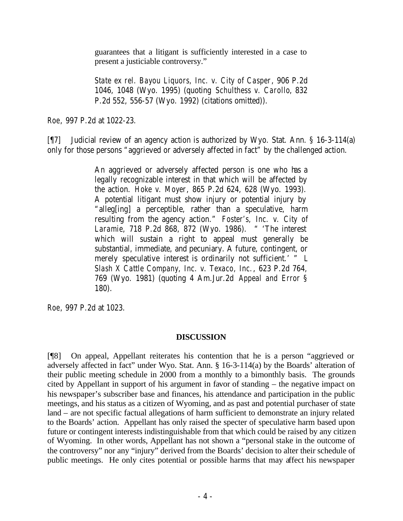guarantees that a litigant is sufficiently interested in a case to present a justiciable controversy."

*State ex rel. Bayou Liquors, Inc. v. City of Casper*, 906 P.2d 1046, 1048 (Wyo. 1995) (quoting *Schulthess v. Carollo*, 832 P.2d 552, 556-57 (Wyo. 1992) (citations omitted)).

*Roe*, 997 P.2d at 1022-23.

[¶7] Judicial review of an agency action is authorized by Wyo. Stat. Ann. § 16-3-114(a) only for those persons "aggrieved or adversely affected in fact" by the challenged action.

> An aggrieved or adversely affected person is one who has a legally recognizable interest in that which will be affected by the action. *Hoke v. Moyer*, 865 P.2d 624, 628 (Wyo. 1993). A potential litigant must show injury or potential injury by "alleg[ing] a perceptible, rather than a speculative, harm resulting from the agency action." *Foster's, Inc. v. City of Laramie*, 718 P.2d 868, 872 (Wyo. 1986). " 'The interest which will sustain a right to appeal must generally be substantial, immediate, and pecuniary. A future, contingent, or merely speculative interest is ordinarily not sufficient.' " *L Slash X Cattle Company, Inc. v. Texaco, Inc.*, 623 P.2d 764, 769 (Wyo. 1981) (quoting 4 Am.Jur.2d *Appeal and Error* § 180).

*Roe*, 997 P.2d at 1023.

# **DISCUSSION**

[¶8] On appeal, Appellant reiterates his contention that he is a person "aggrieved or adversely affected in fact" under Wyo. Stat. Ann. § 16-3-114(a) by the Boards' alteration of their public meeting schedule in 2000 from a monthly to a bimonthly basis. The grounds cited by Appellant in support of his argument in favor of standing – the negative impact on his newspaper's subscriber base and finances, his attendance and participation in the public meetings, and his status as a citizen of Wyoming, and as past and potential purchaser of state land – are not specific factual allegations of harm sufficient to demonstrate an injury related to the Boards' action. Appellant has only raised the specter of speculative harm based upon future or contingent interests indistinguishable from that which could be raised by any citizen of Wyoming. In other words, Appellant has not shown a "personal stake in the outcome of the controversy" nor any "injury" derived from the Boards' decision to alter their schedule of public meetings. He only cites potential or possible harms that may affect his newspaper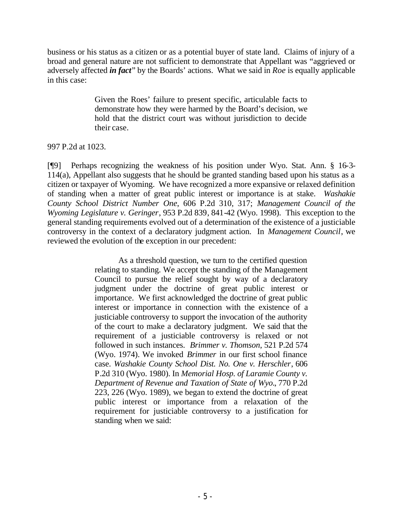business or his status as a citizen or as a potential buyer of state land. Claims of injury of a broad and general nature are not sufficient to demonstrate that Appellant was "aggrieved or adversely affected *in fact*" by the Boards' actions. What we said in *Roe* is equally applicable in this case:

> Given the Roes' failure to present specific, articulable facts to demonstrate how they were harmed by the Board's decision, we hold that the district court was without jurisdiction to decide their case.

## 997 P.2d at 1023.

[¶9] Perhaps recognizing the weakness of his position under Wyo. Stat. Ann. § 16-3- 114(a), Appellant also suggests that he should be granted standing based upon his status as a citizen or taxpayer of Wyoming. We have recognized a more expansive or relaxed definition of standing when a matter of great public interest or importance is at stake. *Washakie County School District Number One*, 606 P.2d 310, 317; *Management Council of the Wyoming Legislature v. Geringer*, 953 P.2d 839, 841-42 (Wyo. 1998). This exception to the general standing requirements evolved out of a determination of the existence of a justiciable controversy in the context of a declaratory judgment action. In *Management Council*, we reviewed the evolution of the exception in our precedent:

> As a threshold question, we turn to the certified question relating to standing. We accept the standing of the Management Council to pursue the relief sought by way of a declaratory judgment under the doctrine of great public interest or importance. We first acknowledged the doctrine of great public interest or importance in connection with the existence of a justiciable controversy to support the invocation of the authority of the court to make a declaratory judgment. We said that the requirement of a justiciable controversy is relaxed or not followed in such instances. *Brimmer v. Thomson*, 521 P.2d 574 (Wyo. 1974). We invoked *Brimmer* in our first school finance case. *Washakie County School Dist. No. One v. Herschler*, 606 P.2d 310 (Wyo. 1980). In *Memorial Hosp. of Laramie County v. Department of Revenue and Taxation of State of Wyo.*, 770 P.2d 223, 226 (Wyo. 1989), we began to extend the doctrine of great public interest or importance from a relaxation of the requirement for justiciable controversy to a justification for standing when we said: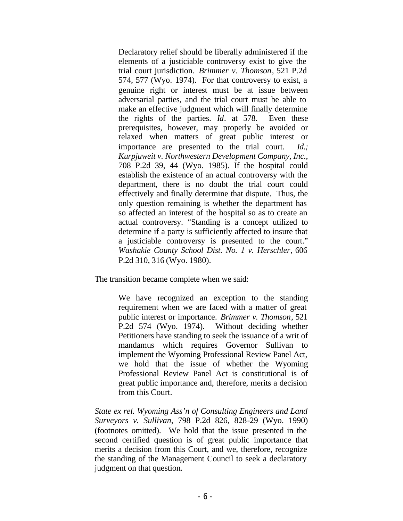Declaratory relief should be liberally administered if the elements of a justiciable controversy exist to give the trial court jurisdiction. *Brimmer v. Thomson*, 521 P.2d 574, 577 (Wyo. 1974). For that controversy to exist, a genuine right or interest must be at issue between adversarial parties, and the trial court must be able to make an effective judgment which will finally determine the rights of the parties. *Id*. at 578. Even these prerequisites, however, may properly be avoided or relaxed when matters of great public interest or importance are presented to the trial court. *Id.; Kurpjuweit v. Northwestern Development Company, Inc.*, 708 P.2d 39, 44 (Wyo. 1985). If the hospital could establish the existence of an actual controversy with the department, there is no doubt the trial court could effectively and finally determine that dispute. Thus, the only question remaining is whether the department has so affected an interest of the hospital so as to create an actual controversy. "Standing is a concept utilized to determine if a party is sufficiently affected to insure that a justiciable controversy is presented to the court." *Washakie County School Dist. No. 1 v. Herschler*, 606 P.2d 310, 316 (Wyo. 1980).

The transition became complete when we said:

We have recognized an exception to the standing requirement when we are faced with a matter of great public interest or importance. *Brimmer v. Thomson*, 521 P.2d 574 (Wyo. 1974). Without deciding whether Petitioners have standing to seek the issuance of a writ of mandamus which requires Governor Sullivan to implement the Wyoming Professional Review Panel Act, we hold that the issue of whether the Wyoming Professional Review Panel Act is constitutional is of great public importance and, therefore, merits a decision from this Court.

*State ex rel. Wyoming Ass'n of Consulting Engineers and Land Surveyors v. Sullivan*, 798 P.2d 826, 828-29 (Wyo. 1990) (footnotes omitted). We hold that the issue presented in the second certified question is of great public importance that merits a decision from this Court, and we, therefore, recognize the standing of the Management Council to seek a declaratory judgment on that question.